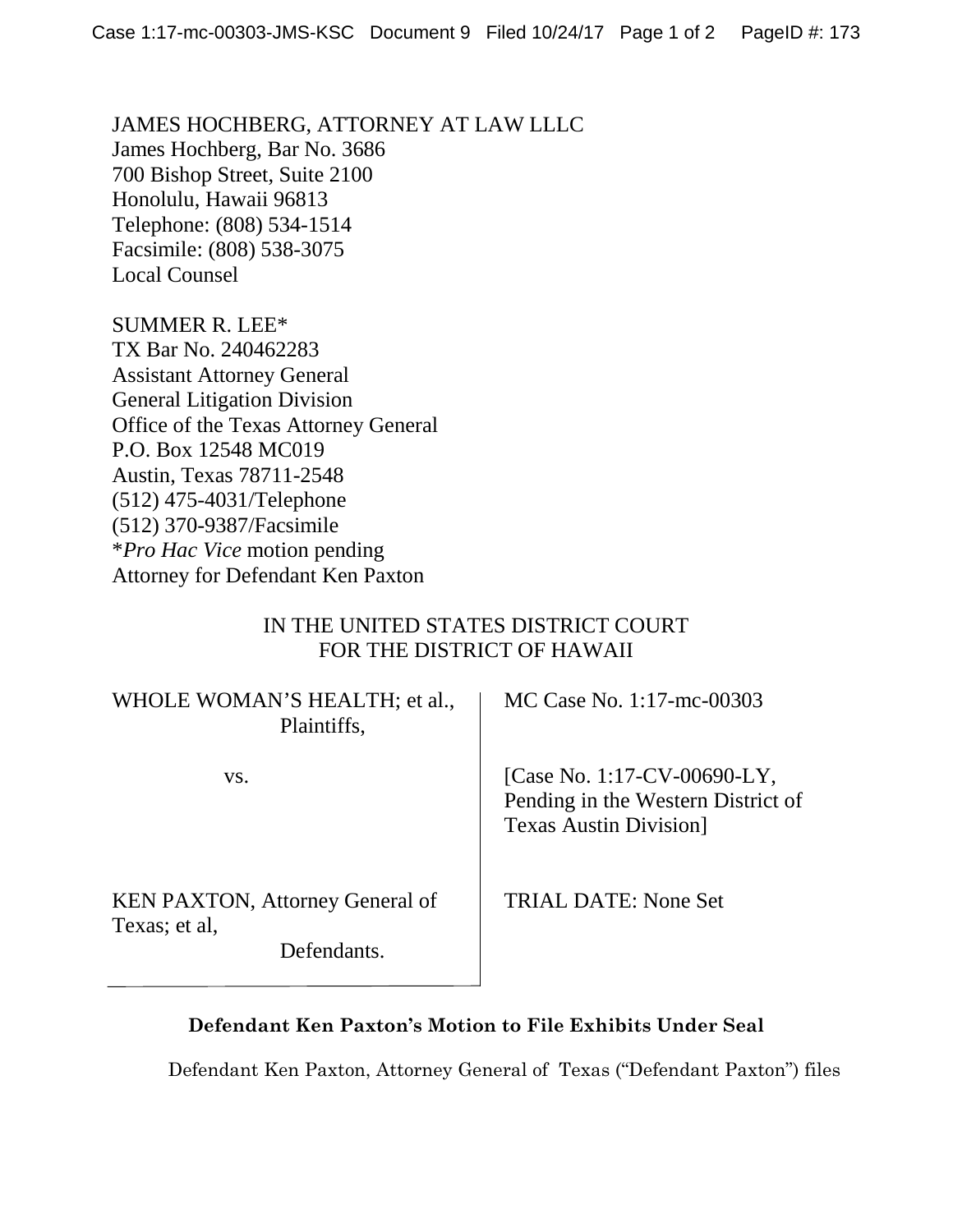JAMES HOCHBERG, ATTORNEY AT LAW LLLC James Hochberg, Bar No. 3686 700 Bishop Street, Suite 2100 Honolulu, Hawaii 96813 Telephone: (808) 534-1514 Facsimile: (808) 538-3075 Local Counsel

SUMMER R. LEE\* TX Bar No. 240462283 Assistant Attorney General General Litigation Division Office of the Texas Attorney General P.O. Box 12548 MC019 Austin, Texas 78711-2548 (512) 475-4031/Telephone (512) 370-9387/Facsimile \**Pro Hac Vice* motion pending Attorney for Defendant Ken Paxton

## IN THE UNITED STATES DISTRICT COURT FOR THE DISTRICT OF HAWAII

| WHOLE WOMAN'S HEALTH; et al.,<br>Plaintiffs,                           | MC Case No. 1:17-mc-00303                                                                           |
|------------------------------------------------------------------------|-----------------------------------------------------------------------------------------------------|
| VS.                                                                    | [Case No. 1:17-CV-00690-LY,<br>Pending in the Western District of<br><b>Texas Austin Division</b> ] |
| <b>KEN PAXTON, Attorney General of</b><br>Texas; et al,<br>Defendants. | TRIAL DATE: None Set                                                                                |

## **Defendant Ken Paxton's Motion to File Exhibits Under Seal**

Defendant Ken Paxton, Attorney General of Texas ("Defendant Paxton") files